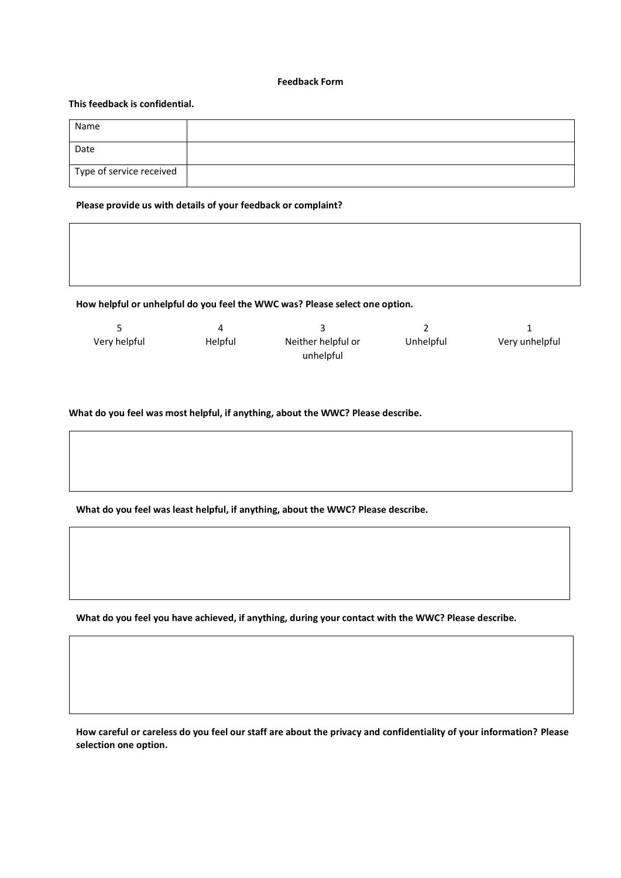#### **Feedback Form**

# **This feedback is confidential.**

| Name                     |  |
|--------------------------|--|
| Date                     |  |
| Type of service received |  |

### **1. Please provide us with details of your feedback or complaint?**

**2. How helpful or unhelpful do you feel the WWC was? Please select one option.**

| Very helpful | Helpful | Neither helpful or | Unhelpful | Very unhelpful |
|--------------|---------|--------------------|-----------|----------------|
|              |         | unhelpful          |           |                |

### **What do you feel was most helpful, if anything, about the WWC? Please describe.**



**4. What do you feel you have achieved, if anything, during your contact with the WWC? Please describe.**

**How careful or careless do you feel our staff are about the privacy and confidentiality of your information? Please selection one option.**